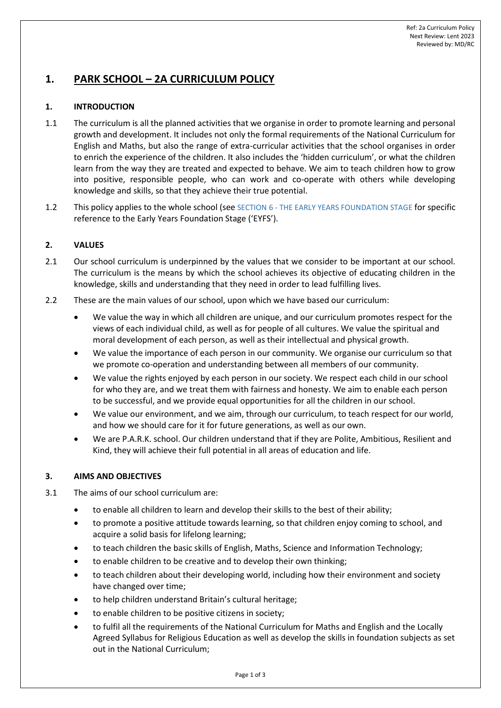# **1. PARK SCHOOL – 2A CURRICULUM POLICY**

# **1. INTRODUCTION**

- 1.1 The curriculum is all the planned activities that we organise in order to promote learning and personal growth and development. It includes not only the formal requirements of the National Curriculum for English and Maths, but also the range of extra-curricular activities that the school organises in order to enrich the experience of the children. It also includes the 'hidden curriculum', or what the children learn from the way they are treated and expected to behave. We aim to teach children how to grow into positive, responsible people, who can work and co-operate with others while developing knowledge and skills, so that they achieve their true potential.
- 1.2 This policy applies to the whole school (see SECTION [6](#page-1-0) [THE EARLY YEARS FOUNDATION STAGE](#page-1-0) for specific reference to the Early Years Foundation Stage ('EYFS').

## **2. VALUES**

- 2.1 Our school curriculum is underpinned by the values that we consider to be important at our school. The curriculum is the means by which the school achieves its objective of educating children in the knowledge, skills and understanding that they need in order to lead fulfilling lives.
- 2.2 These are the main values of our school, upon which we have based our curriculum:
	- We value the way in which all children are unique, and our curriculum promotes respect for the views of each individual child, as well as for people of all cultures. We value the spiritual and moral development of each person, as well as their intellectual and physical growth.
	- We value the importance of each person in our community. We organise our curriculum so that we promote co-operation and understanding between all members of our community.
	- We value the rights enjoyed by each person in our society. We respect each child in our school for who they are, and we treat them with fairness and honesty. We aim to enable each person to be successful, and we provide equal opportunities for all the children in our school.
	- We value our environment, and we aim, through our curriculum, to teach respect for our world, and how we should care for it for future generations, as well as our own.
	- We are P.A.R.K. school. Our children understand that if they are Polite, Ambitious, Resilient and Kind, they will achieve their full potential in all areas of education and life.

#### **3. AIMS AND OBJECTIVES**

- 3.1 The aims of our school curriculum are:
	- to enable all children to learn and develop their skills to the best of their ability;
	- to promote a positive attitude towards learning, so that children enjoy coming to school, and acquire a solid basis for lifelong learning;
	- to teach children the basic skills of English, Maths, Science and Information Technology;
	- to enable children to be creative and to develop their own thinking;
	- to teach children about their developing world, including how their environment and society have changed over time;
	- to help children understand Britain's cultural heritage;
	- to enable children to be positive citizens in society;
	- to fulfil all the requirements of the National Curriculum for Maths and English and the Locally Agreed Syllabus for Religious Education as well as develop the skills in foundation subjects as set out in the National Curriculum;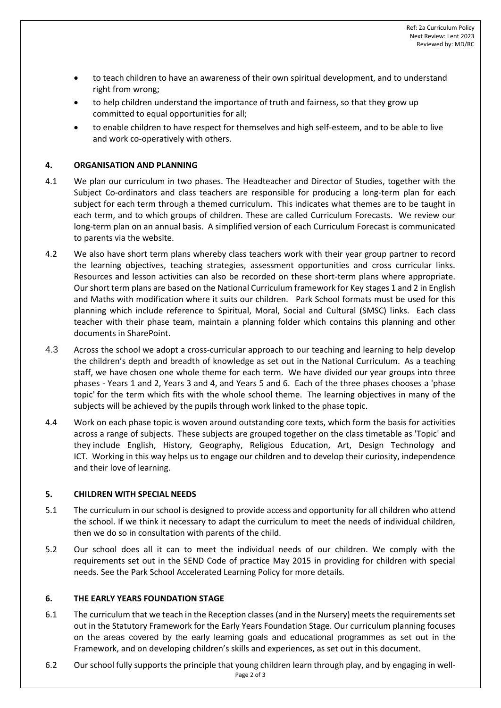- to teach children to have an awareness of their own spiritual development, and to understand right from wrong;
- to help children understand the importance of truth and fairness, so that they grow up committed to equal opportunities for all;
- to enable children to have respect for themselves and high self-esteem, and to be able to live and work co-operatively with others.

## **4. ORGANISATION AND PLANNING**

- 4.1 We plan our curriculum in two phases. The Headteacher and Director of Studies, together with the Subject Co-ordinators and class teachers are responsible for producing a long-term plan for each subject for each term through a themed curriculum. This indicates what themes are to be taught in each term, and to which groups of children. These are called Curriculum Forecasts. We review our long-term plan on an annual basis. A simplified version of each Curriculum Forecast is communicated to parents via the website.
- 4.2 We also have short term plans whereby class teachers work with their year group partner to record the learning objectives, teaching strategies, assessment opportunities and cross curricular links. Resources and lesson activities can also be recorded on these short-term plans where appropriate. Our short term plans are based on the National Curriculum framework for Key stages 1 and 2 in English and Maths with modification where it suits our children. Park School formats must be used for this planning which include reference to Spiritual, Moral, Social and Cultural (SMSC) links. Each class teacher with their phase team, maintain a planning folder which contains this planning and other documents in SharePoint.
- 4.3 Across the school we adopt a cross-curricular approach to our teaching and learning to help develop the children's depth and breadth of knowledge as set out in the National Curriculum. As a teaching staff, we have chosen one whole theme for each term. We have divided our year groups into three phases - Years 1 and 2, Years 3 and 4, and Years 5 and 6. Each of the three phases chooses a 'phase topic' for the term which fits with the whole school theme. The learning objectives in many of the subjects will be achieved by the pupils through work linked to the phase topic.
- 4.4 Work on each phase topic is woven around outstanding core texts, which form the basis for activities across a range of subjects. These subjects are grouped together on the class timetable as 'Topic' and they include English, History, Geography, Religious Education, Art, Design Technology and ICT. Working in this way helps us to engage our children and to develop their curiosity, independence and their love of learning.

#### **5. CHILDREN WITH SPECIAL NEEDS**

- 5.1 The curriculum in our school is designed to provide access and opportunity for all children who attend the school. If we think it necessary to adapt the curriculum to meet the needs of individual children, then we do so in consultation with parents of the child.
- 5.2 Our school does all it can to meet the individual needs of our children. We comply with the requirements set out in the SEND Code of practice May 2015 in providing for children with special needs. See the Park School Accelerated Learning Policy for more details.

# <span id="page-1-0"></span>**6. THE EARLY YEARS FOUNDATION STAGE**

- 6.1 The curriculum that we teach in the Reception classes (and in the Nursery) meets the requirements set out in the Statutory Framework for the Early Years Foundation Stage. Our curriculum planning focuses on the areas covered by the early learning goals and educational programmes as set out in the Framework, and on developing children's skills and experiences, as set out in this document.
- Page 2 of 3 6.2 Our school fully supports the principle that young children learn through play, and by engaging in well-